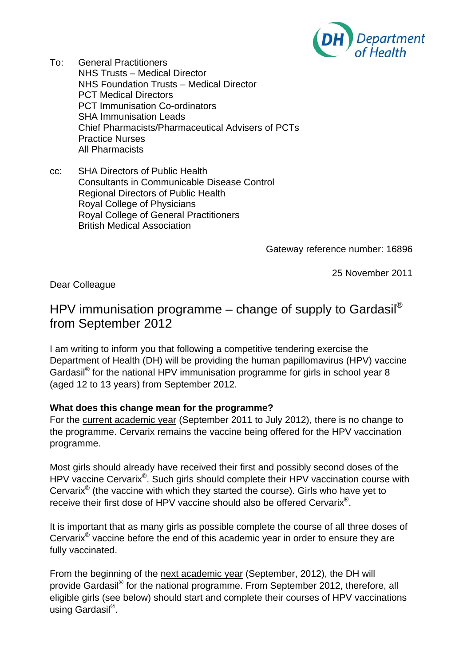

- To: General Practitioners NHS Trusts – Medical Director NHS Foundation Trusts – Medical Director PCT Medical Directors PCT Immunisation Co-ordinators SHA Immunisation Leads Chief Pharmacists/Pharmaceutical Advisers of PCTs Practice Nurses All Pharmacists
- cc: SHA Directors of Public Health Consultants in Communicable Disease Control Regional Directors of Public Health Royal College of Physicians Royal College of General Practitioners British Medical Association

Gateway reference number: 16896

25 November 2011

Dear Colleague

# HPV immunisation programme – change of supply to Gardasil® from September 2012

I am writing to inform you that following a competitive tendering exercise the Department of Health (DH) will be providing the human papillomavirus (HPV) vaccine Gardasil**®** for the national HPV immunisation programme for girls in school year 8 (aged 12 to 13 years) from September 2012.

#### **What does this change mean for the programme?**

For the current academic year (September 2011 to July 2012), there is no change to the programme. Cervarix remains the vaccine being offered for the HPV vaccination programme.

Most girls should already have received their first and possibly second doses of the HPV vaccine Cervarix<sup>®</sup>. Such girls should complete their HPV vaccination course with Cervarix<sup>®</sup> (the vaccine with which they started the course). Girls who have yet to receive their first dose of HPV vaccine should also be offered Cervarix®.

It is important that as many girls as possible complete the course of all three doses of Cervarix<sup>®</sup> vaccine before the end of this academic year in order to ensure they are fully vaccinated.

From the beginning of the next academic year (September, 2012), the DH will provide Gardasil® for the national programme. From September 2012, therefore, all eligible girls (see below) should start and complete their courses of HPV vaccinations using Gardasil®.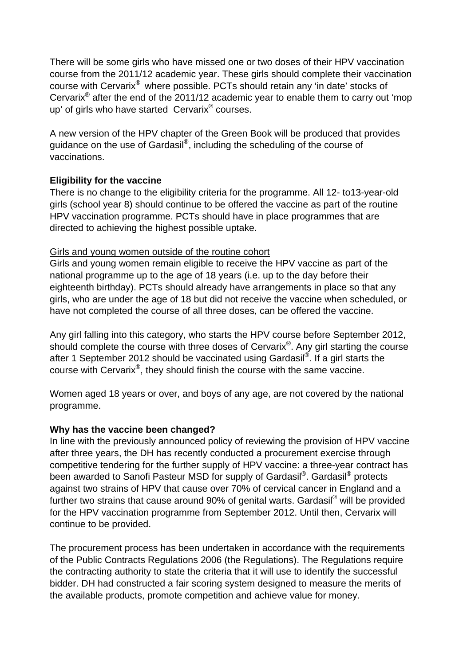There will be some girls who have missed one or two doses of their HPV vaccination course from the 2011/12 academic year. These girls should complete their vaccination course with Cervarix® where possible. PCTs should retain any 'in date' stocks of Cervarix® after the end of the 2011/12 academic year to enable them to carry out 'mop up' of girls who have started Cervarix® courses.

A new version of the HPV chapter of the Green Book will be produced that provides guidance on the use of Gardasil®, including the scheduling of the course of vaccinations.

#### **Eligibility for the vaccine**

There is no change to the eligibility criteria for the programme. All 12- to13-year-old girls (school year 8) should continue to be offered the vaccine as part of the routine HPV vaccination programme. PCTs should have in place programmes that are directed to achieving the highest possible uptake.

#### Girls and young women outside of the routine cohort

Girls and young women remain eligible to receive the HPV vaccine as part of the national programme up to the age of 18 years (i.e. up to the day before their eighteenth birthday). PCTs should already have arrangements in place so that any girls, who are under the age of 18 but did not receive the vaccine when scheduled, or have not completed the course of all three doses, can be offered the vaccine.

Any girl falling into this category, who starts the HPV course before September 2012, should complete the course with three doses of Cervarix<sup>®</sup>. Any girl starting the course after 1 September 2012 should be vaccinated using Gardasil®. If a girl starts the course with Cervarix®, they should finish the course with the same vaccine.

Women aged 18 years or over, and boys of any age, are not covered by the national programme.

#### **Why has the vaccine been changed?**

In line with the previously announced policy of reviewing the provision of HPV vaccine after three years, the DH has recently conducted a procurement exercise through competitive tendering for the further supply of HPV vaccine: a three-year contract has been awarded to Sanofi Pasteur MSD for supply of Gardasil<sup>®</sup>. Gardasil<sup>®</sup> protects against two strains of HPV that cause over 70% of cervical cancer in England and a further two strains that cause around 90% of genital warts. Gardasil<sup>®</sup> will be provided for the HPV vaccination programme from September 2012. Until then, Cervarix will continue to be provided.

The procurement process has been undertaken in accordance with the requirements of the Public Contracts Regulations 2006 (the Regulations). The Regulations require the contracting authority to state the criteria that it will use to identify the successful bidder. DH had constructed a fair scoring system designed to measure the merits of the available products, promote competition and achieve value for money.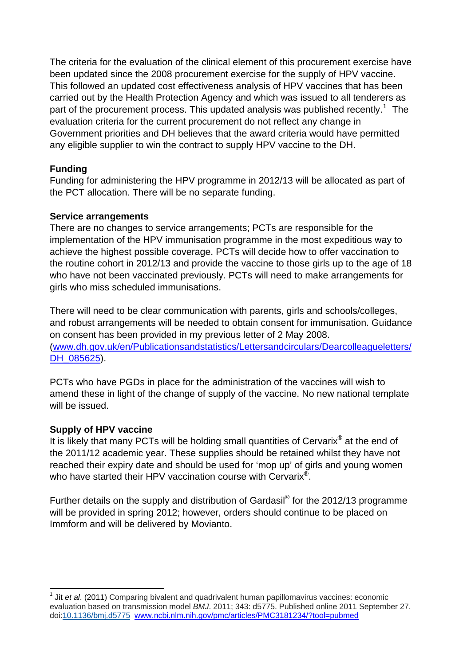The criteria for the evaluation of the clinical element of this procurement exercise have been updated since the 2008 procurement exercise for the supply of HPV vaccine. This followed an updated cost effectiveness analysis of HPV vaccines that has been carried out by the Health Protection Agency and which was issued to all tenderers as part of the procurement process. This updated analysis was published recently.<sup>[1](#page-2-0)</sup> The evaluation criteria for the current procurement do not reflect any change in Government priorities and DH believes that the award criteria would have permitted any eligible supplier to win the contract to supply HPV vaccine to the DH.

## **Funding**

Funding for administering the HPV programme in 2012/13 will be allocated as part of the PCT allocation. There will be no separate funding.

## **Service arrangements**

There are no changes to service arrangements; PCTs are responsible for the implementation of the HPV immunisation programme in the most expeditious way to achieve the highest possible coverage. PCTs will decide how to offer vaccination to the routine cohort in 2012/13 and provide the vaccine to those girls up to the age of 18 who have not been vaccinated previously. PCTs will need to make arrangements for girls who miss scheduled immunisations.

There will need to be clear communication with parents, girls and schools/colleges, and robust arrangements will be needed to obtain consent for immunisation. Guidance on consent has been provided in my previous letter of 2 May 2008. ([www.dh.gov.uk/en/Publicationsandstatistics/Lettersandcirculars/Dearcolleagueletters/](http://www.dh.gov.uk/en/Publicationsandstatistics/Lettersandcirculars/Dearcolleagueletters/DH_085625) DH 085625).

PCTs who have PGDs in place for the administration of the vaccines will wish to amend these in light of the change of supply of the vaccine. No new national template will be issued.

## **Supply of HPV vaccine**

1

It is likely that many PCTs will be holding small quantities of Cervarix® at the end of the 2011/12 academic year. These supplies should be retained whilst they have not reached their expiry date and should be used for 'mop up' of girls and young women who have started their HPV vaccination course with Cervarix<sup>®</sup>.

Further details on the supply and distribution of Gardasil® for the 2012/13 programme will be provided in spring 2012; however, orders should continue to be placed on Immform and will be delivered by Movianto.

<span id="page-2-0"></span><sup>&</sup>lt;sup>1</sup> Jit *et al.* (2011) Comparing bivalent and quadrivalent human papillomavirus vaccines: economic evaluation based on transmission model *BMJ*. 2011; 343: d5775. Published online 2011 September 27. doi[:10.1136/bmj.d5775](http://dx.crossref.org/10.1136%2Fbmj.d5775) [www.ncbi.nlm.nih.gov/pmc/articles/PMC3181234/?tool=pubmed](http://www.ncbi.nlm.nih.gov/pmc/articles/PMC3181234/?tool=pubmed)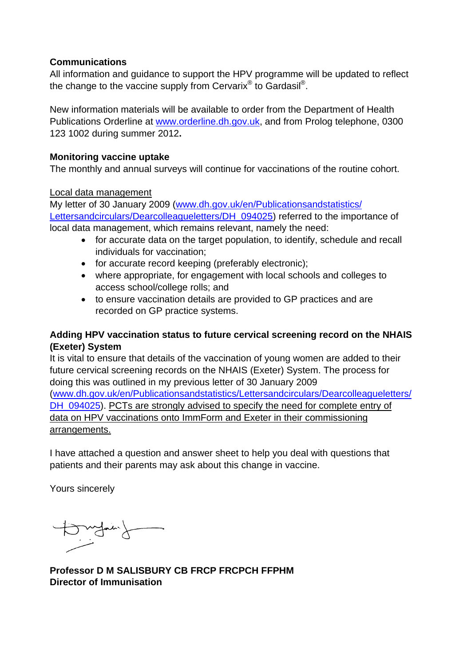#### **Communications**

All information and guidance to support the HPV programme will be updated to reflect the change to the vaccine supply from Cervarix® to Gardasil®.

New information materials will be available to order from the Department of Health Publications Orderline at [www.orderline.dh.gov.uk](http://www.orderline.dh.gov.uk/), and from Prolog telephone, 0300 123 1002 during summer 2012**.**

#### **Monitoring vaccine uptake**

The monthly and annual surveys will continue for vaccinations of the routine cohort.

#### Local data management

My letter of 30 January 2009 [\(www.dh.gov.uk/en/Publicationsandstatistics/](http://www.dh.gov.uk/en/Publicationsandstatistics/Lettersandcirculars/Dearcolleagueletters/DH_094025) [Lettersandcirculars/Dearcolleagueletters/DH\\_094025](http://www.dh.gov.uk/en/Publicationsandstatistics/Lettersandcirculars/Dearcolleagueletters/DH_094025)) referred to the importance of local data management, which remains relevant, namely the need:

- for accurate data on the target population, to identify, schedule and recall individuals for vaccination;
- for accurate record keeping (preferably electronic);
- where appropriate, for engagement with local schools and colleges to access school/college rolls; and
- to ensure vaccination details are provided to GP practices and are recorded on GP practice systems.

## **Adding HPV vaccination status to future cervical screening record on the NHAIS (Exeter) System**

It is vital to ensure that details of the vaccination of young women are added to their future cervical screening records on the NHAIS (Exeter) System. The process for doing this was outlined in my previous letter of 30 January 2009 ([www.dh.gov.uk/en/Publicationsandstatistics/Lettersandcirculars/Dearcolleagueletters/](http://www.dh.gov.uk/en/Publicationsandstatistics/Lettersandcirculars/Dearcolleagueletters/DH_094025) [DH\\_094025\)](http://www.dh.gov.uk/en/Publicationsandstatistics/Lettersandcirculars/Dearcolleagueletters/DH_094025). PCTs are strongly advised to specify the need for complete entry of data on HPV vaccinations onto ImmForm and Exeter in their commissioning arrangements.

I have attached a question and answer sheet to help you deal with questions that patients and their parents may ask about this change in vaccine.

Yours sincerely

Mydair)

**Professor D M SALISBURY CB FRCP FRCPCH FFPHM Director of Immunisation**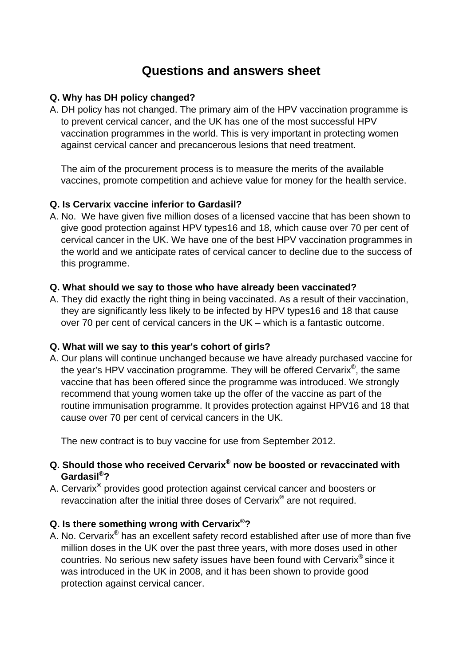# **Questions and answers sheet**

#### **Q. Why has DH policy changed?**

A. DH policy has not changed. The primary aim of the HPV vaccination programme is to prevent cervical cancer, and the UK has one of the most successful HPV vaccination programmes in the world. This is very important in protecting women against cervical cancer and precancerous lesions that need treatment.

 The aim of the procurement process is to measure the merits of the available vaccines, promote competition and achieve value for money for the health service.

## **Q. Is Cervarix vaccine inferior to Gardasil?**

A. No. We have given five million doses of a licensed vaccine that has been shown to give good protection against HPV types16 and 18, which cause over 70 per cent of cervical cancer in the UK. We have one of the best HPV vaccination programmes in the world and we anticipate rates of cervical cancer to decline due to the success of this programme.

## **Q. What should we say to those who have already been vaccinated?**

A. They did exactly the right thing in being vaccinated. As a result of their vaccination, they are significantly less likely to be infected by HPV types16 and 18 that cause over 70 per cent of cervical cancers in the UK – which is a fantastic outcome.

## **Q. What will we say to this year's cohort of girls?**

A. Our plans will continue unchanged because we have already purchased vaccine for the year's HPV vaccination programme. They will be offered Cervarix®, the same vaccine that has been offered since the programme was introduced. We strongly recommend that young women take up the offer of the vaccine as part of the routine immunisation programme. It provides protection against HPV16 and 18 that cause over 70 per cent of cervical cancers in the UK.

The new contract is to buy vaccine for use from September 2012.

## **Q. Should those who received Cervarix® now be boosted or revaccinated with Gardasil®?**

A. Cervarix**®** provides good protection against cervical cancer and boosters or revaccination after the initial three doses of Cervarix**®** are not required.

## **Q. Is there something wrong with Cervarix®?**

A. No. Cervarix<sup>®</sup> has an excellent safety record established after use of more than five million doses in the UK over the past three years, with more doses used in other countries. No serious new safety issues have been found with Cervarix® since it was introduced in the UK in 2008, and it has been shown to provide good protection against cervical cancer.